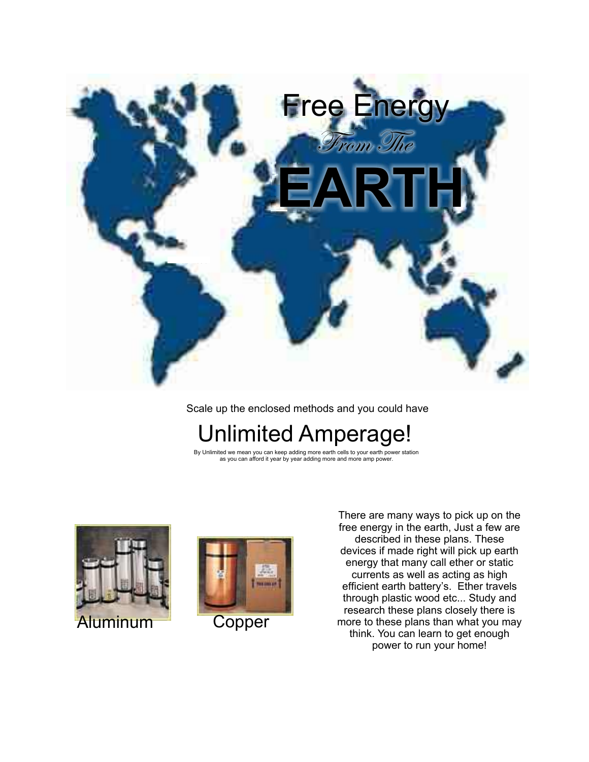

Scale up the enclosed methods and you could have

# Unlimited Amperage!

By Unlimited we mean you can keep adding more earth cells to your earth power station as you can afford it year by year adding more and more amp power.





There are many ways to pick up on the free energy in the earth, Just a few are described in these plans. These devices if made right will pick up earth energy that many call ether or static currents as well as acting as high efficient earth battery's. Ether travels through plastic wood etc... Study and research these plans closely there is more to these plans than what you may think. You can learn to get enough power to run your home!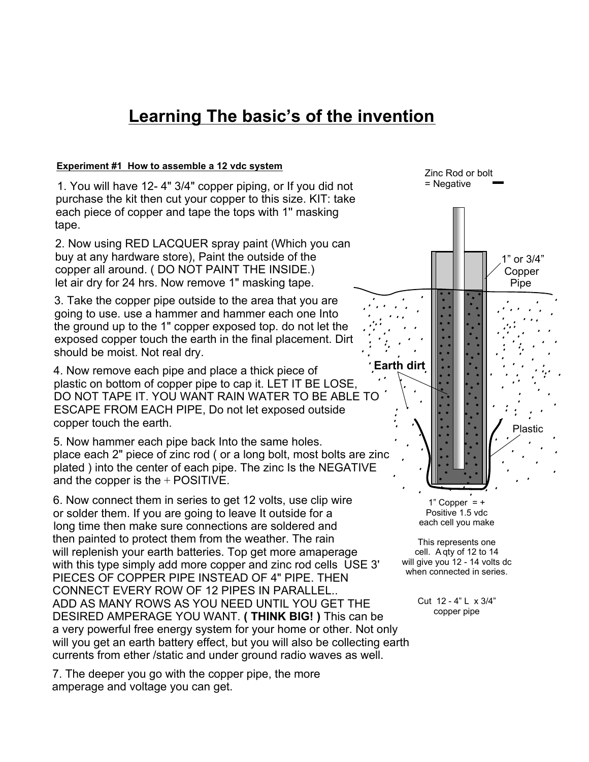#### **Experiment #1 How to assemble a 12 vdc system**

1. You will have 12- 4" 3/4" copper piping, or If you did not purchase the kit then cut your copper to this size. KIT: take each piece of copper and tape the tops with 1'' masking tape.

2. Now using RED LACQUER spray paint (Which you can buy at any hardware store), Paint the outside of the copper all around. ( DO NOT PAINT THE INSIDE.) let air dry for 24 hrs. Now remove 1" masking tape.

3. Take the copper pipe outside to the area that you are going to use. use a hammer and hammer each one Into the ground up to the 1" copper exposed top. do not let the exposed copper touch the earth in the final placement. Dirt should be moist. Not real dry.

4. Now remove each pipe and place a thick piece of plastic on bottom of copper pipe to cap it. LET IT BE LOSE, DO NOT TAPE IT. YOU WANT RAIN WATER TO BE ABLE TO ESCAPE FROM EACH PIPE, Do not let exposed outside copper touch the earth.

5. Now hammer each pipe back Into the same holes. place each 2" piece of zinc rod ( or a long bolt, most bolts are zinc plated ) into the center of each pipe. The zinc Is the NEGATIVE and the copper is the  $+$  POSITIVE.

6. Now connect them in series to get 12 volts, use clip wire or solder them. If you are going to leave It outside for a long time then make sure connections are soldered and then painted to protect them from the weather. The rain will replenish your earth batteries. Top get more amaperage with this type simply add more copper and zinc rod cells USE 3' PIECES OF COPPER PIPE INSTEAD OF 4" PIPE. THEN CONNECT EVERY ROW OF 12 PIPES IN PARALLEL.. ADD AS MANY ROWS AS YOU NEED UNTIL YOU GET THE DESIRED AMPERAGE YOU WANT. **( THINK BIG! )** This can be a very powerful free energy system for your home or other. Not only will you get an earth battery effect, but you will also be collecting earth currents from ether /static and under ground radio waves as well.

7. The deeper you go with the copper pipe, the more amperage and voltage you can get.



 $1"$  Copper =  $+$ Positive 1.5 vdc each cell you make

This represents one cell. A qty of 12 to 14 will give you 12 - 14 volts dc when connected in series.

> Cut 12 - 4" L x 3/4" copper pipe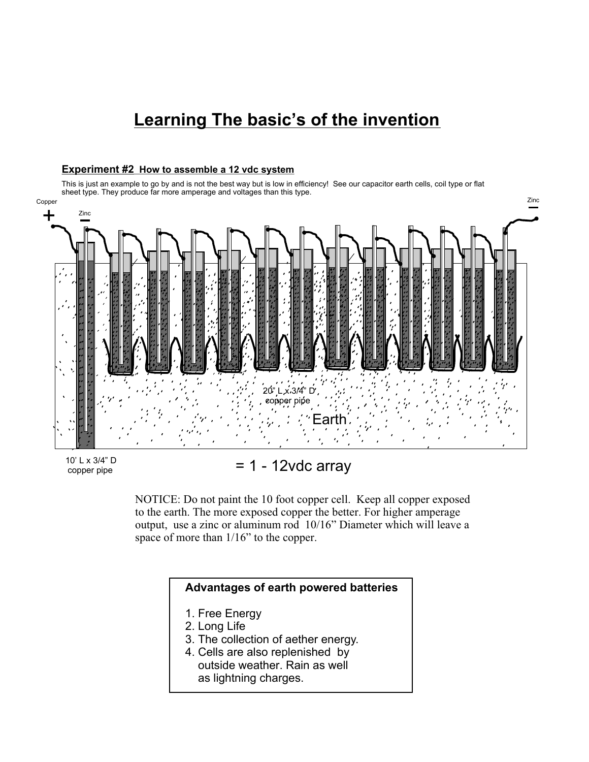#### **Experiment #2 How to assemble a 12 vdc system**

This is just an example to go by and is not the best way but is low in efficiency! See our capacitor earth cells, coil type or flat sheet type. They produce far more amperage and voltages than this type.



10' L x 3/4" D copper pipe

### $= 1 - 12$ vdc array

NOTICE: Do not paint the 10 foot copper cell. Keep all copper exposed to the earth. The more exposed copper the better. For higher amperage output, use a zinc or aluminum rod 10/16" Diameter which will leave a space of more than  $1/16$ " to the copper.

#### **Advantages of earth powered batteries**

- 1. Free Energy
- 2. Long Life
- 3. The collection of aether energy.
- 4. Cells are also replenished by outside weather. Rain as well as lightning charges.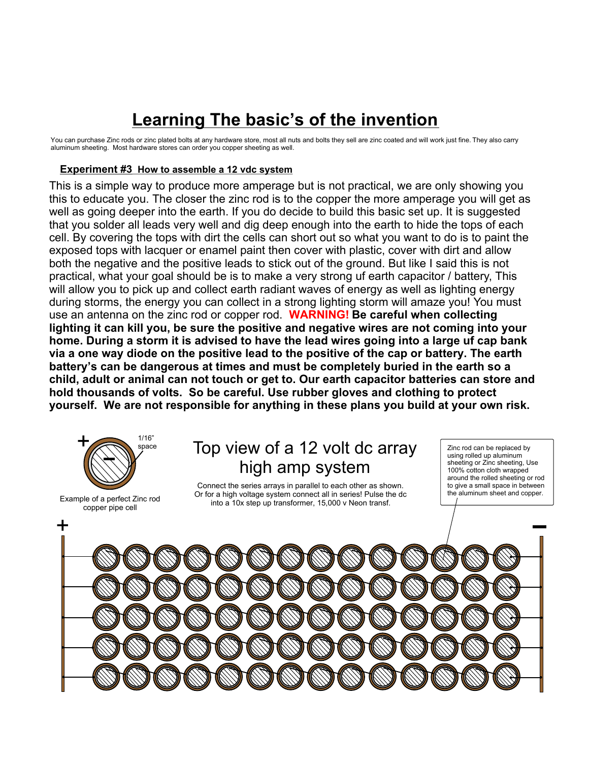You can purchase Zinc rods or zinc plated bolts at any hardware store, most all nuts and bolts they sell are zinc coated and will work just fine. They also carry aluminum sheeting. Most hardware stores can order you copper sheeting as well.

#### **Experiment #3 How to assemble a 12 vdc system**

This is a simple way to produce more amperage but is not practical, we are only showing you this to educate you. The closer the zinc rod is to the copper the more amperage you will get as well as going deeper into the earth. If you do decide to build this basic set up. It is suggested that you solder all leads very well and dig deep enough into the earth to hide the tops of each cell. By covering the tops with dirt the cells can short out so what you want to do is to paint the exposed tops with lacquer or enamel paint then cover with plastic, cover with dirt and allow both the negative and the positive leads to stick out of the ground. But like I said this is not practical, what your goal should be is to make a very strong uf earth capacitor / battery, This will allow you to pick up and collect earth radiant waves of energy as well as lighting energy during storms, the energy you can collect in a strong lighting storm will amaze you! You must use an antenna on the zinc rod or copper rod. WARNING! Be careful when collecting **lighting it can kill you, be sure the positive and negative wires are not coming into your home. During a storm it is advised to have the lead wires going into a large uf cap bank via a one way diode on the positive lead to the positive of the cap or battery. The earth battery's can be dangerous at times and must be completely buried in the earth so a child, adult or animal can not touch or get to. Our earth capacitor batteries can store and hold thousands of volts. So be careful. Use rubber gloves and clothing to protect yourself. We are not responsible for anything in these plans you build at your own risk.**



Example of a perfect Zinc rod copper pipe cell

# Top view of a 12 volt dc array high amp system

Connect the series arrays in parallel to each other as shown. Or for a high voltage system connect all in series! Pulse the dc into a 10x step up transformer, 15,000 v Neon transf.

Zinc rod can be replaced by using rolled up aluminum sheeting or Zinc sheeting, Use 100% cotton cloth wrapped around the rolled sheeting or rod to give a small space in between the aluminum sheet and copper.

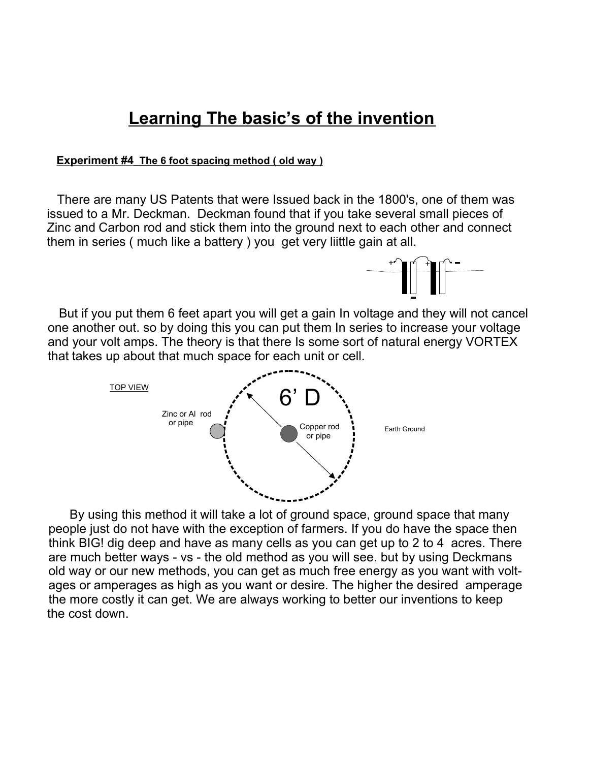#### **Experiment #4 The 6 foot spacing method ( old way )**

There are many US Patents that were Issued back in the 1800's, one of them was issued to a Mr. Deckman. Deckman found that if you take several small pieces of Zinc and Carbon rod and stick them into the ground next to each other and connect them in series ( much like a battery ) you get very liittle gain at all.

+ ነ∎ + +

 But if you put them 6 feet apart you will get a gain In voltage and they will not cancel one another out. so by doing this you can put them In series to increase your voltage and your volt amps. The theory is that there Is some sort of natural energy VORTEX that takes up about that much space for each unit or cell.



 By using this method it will take a lot of ground space, ground space that many people just do not have with the exception of farmers. If you do have the space then think BIG! dig deep and have as many cells as you can get up to 2 to 4 acres. There are much better ways - vs - the old method as you will see. but by using Deckmans old way or our new methods, you can get as much free energy as you want with voltages or amperages as high as you want or desire. The higher the desired amperage the more costly it can get. We are always working to better our inventions to keep the cost down.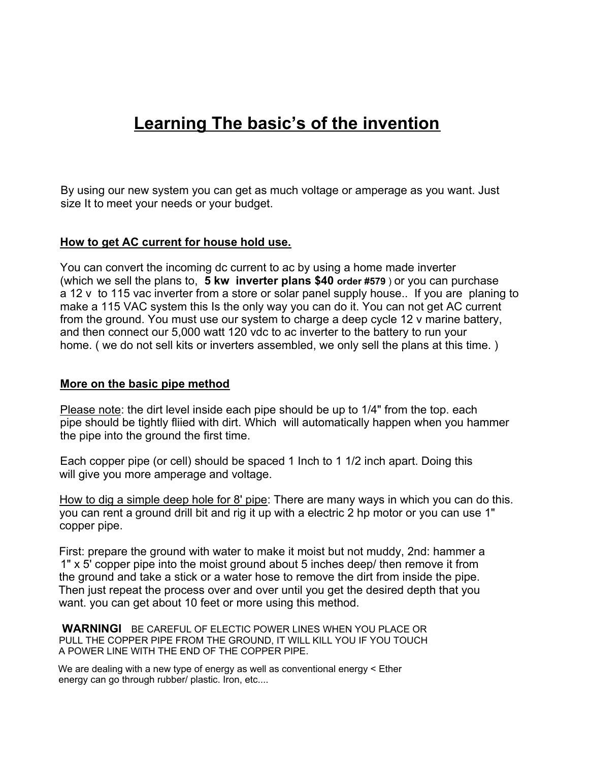By using our new system you can get as much voltage or amperage as you want. Just size It to meet your needs or your budget.

#### **How to get AC current for house hold use.**

You can convert the incoming dc current to ac by using a home made inverter (which we sell the plans to, **5 kw inverter plans \$40 order #579** ) or you can purchase a 12 v to 115 vac inverter from a store or solar panel supply house.. If you are planing to make a 115 VAC system this Is the only way you can do it. You can not get AC current from the ground. You must use our system to charge a deep cycle 12 v marine battery, and then connect our 5,000 watt 120 vdc to ac inverter to the battery to run your home. ( we do not sell kits or inverters assembled, we only sell the plans at this time. )

#### **More on the basic pipe method**

Please note: the dirt level inside each pipe should be up to 1/4" from the top. each pipe should be tightly fliied with dirt. Which will automatically happen when you hammer the pipe into the ground the first time.

Each copper pipe (or cell) should be spaced 1 Inch to 1 1/2 inch apart. Doing this will give you more amperage and voltage.

How to dig a simple deep hole for 8' pipe: There are many ways in which you can do this. you can rent a ground drill bit and rig it up with a electric 2 hp motor or you can use 1" copper pipe.

First: prepare the ground with water to make it moist but not muddy, 2nd: hammer a 1" x 5' copper pipe into the moist ground about 5 inches deep/ then remove it from the ground and take a stick or a water hose to remove the dirt from inside the pipe. Then just repeat the process over and over until you get the desired depth that you want. you can get about 10 feet or more using this method.

**WARNINGI** BE CAREFUL OF ELECTIC POWER LINES WHEN YOU PLACE OR PULL THE COPPER PIPE FROM THE GROUND, IT WILL KILL YOU IF YOU TOUCH A POWER LINE WITH THE END OF THE COPPER PIPE.

We are dealing with a new type of energy as well as conventional energy < Ether energy can go through rubber/ plastic. Iron, etc....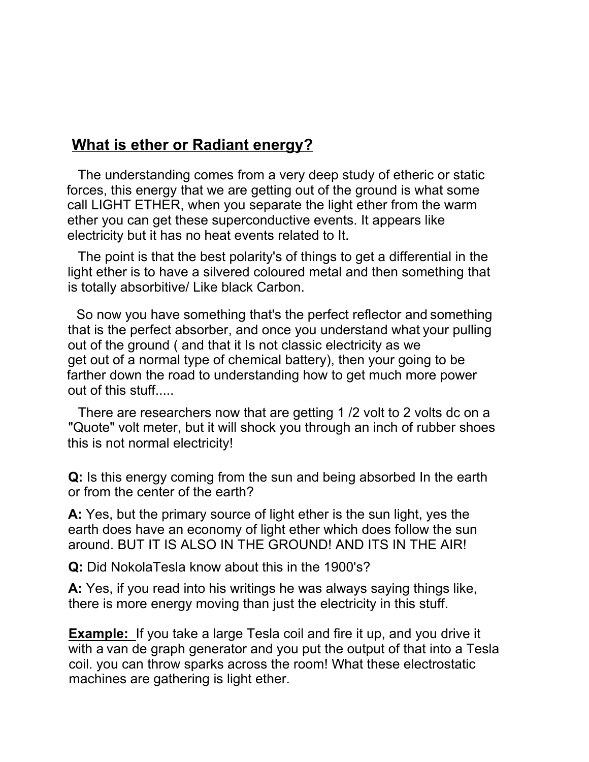### **What is ether or Radiant energy?**

The understanding comes from a very deep study of etheric or static forces, this energy that we are getting out of the ground is what some call LIGHT ETHER, when you separate the light ether from the warm ether you can get these superconductive events. It appears like electricity but it has no heat events related to It.

The point is that the best polarity's of things to get a differential in the light ether is to have a silvered coloured metal and then something that is totally absorbitive/ Like black Carbon.

 So now you have something that's the perfect reflector and something that is the perfect absorber, and once you understand what your pulling out of the ground ( and that it Is not classic electricity as we get out of a normal type of chemical battery), then your going to be farther down the road to understanding how to get much more power out of this stuff.....

There are researchers now that are getting 1 /2 volt to 2 volts dc on a "Quote" volt meter, but it will shock you through an inch of rubber shoes this is not normal electricity!

**Q:** Is this energy coming from the sun and being absorbed In the earth or from the center of the earth?

**A:** Yes, but the primary source of light ether is the sun light, yes the earth does have an economy of light ether which does follow the sun around. BUT IT IS ALSO IN THE GROUND! AND ITS IN THE AIR!

**Q:** Did NokolaTesla know about this in the 1900's?

**A:** Yes, if you read into his writings he was always saying things like, there is more energy moving than just the electricity in this stuff.

**Example:** If you take a large Tesla coil and fire it up, and you drive it with a van de graph generator and you put the output of that into a Tesla coil. you can throw sparks across the room! What these electrostatic machines are gathering is light ether.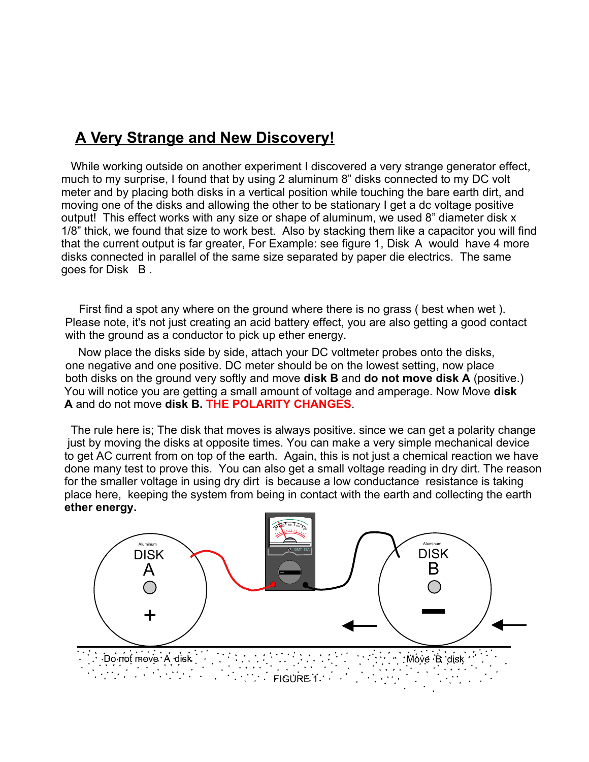### **A Very Strange and New Discovery!**

 While working outside on another experiment I discovered a very strange generator effect, much to my surprise, I found that by using 2 aluminum 8" disks connected to my DC volt meter and by placing both disks in a vertical position while touching the bare earth dirt, and moving one of the disks and allowing the other to be stationary I get a dc voltage positive output! This effect works with any size or shape of aluminum, we used 8" diameter disk x 1/8" thick, we found that size to work best. Also by stacking them like a capacitor you will find that the current output is far greater, For Example: see figure 1, Disk A would have 4 more disks connected in parallel of the same size separated by paper die electrics. The same goes for Disk B .

 First find a spot any where on the ground where there is no grass ( best when wet ). Please note, it's not just creating an acid battery effect, you are also getting a good contact with the ground as a conductor to pick up ether energy.

Now place the disks side by side, attach your DC voltmeter probes onto the disks, one negative and one positive. DC meter should be on the lowest setting, now place both disks on the ground very softly and move **disk B** and **do not move disk A** (positive.) You will notice you are getting a small amount of voltage and amperage. Now Move **disk A** and do not move **disk B. THE POLARITY CHANGES**.

 The rule here is; The disk that moves is always positive. since we can get a polarity change just by moving the disks at opposite times. You can make a very simple mechanical device to get AC current from on top of the earth. Again, this is not just a chemical reaction we have done many test to prove this. You can also get a small voltage reading in dry dirt. The reason for the smaller voltage in using dry dirt is because a low conductance resistance is taking place here, keeping the system from being in contact with the earth and collecting the earth **ether energy.**



Do not move A disk Move B disk A disk A disk and Move B disk  $\mathcal{L}(\mathcal{L})$ FIGURE 1.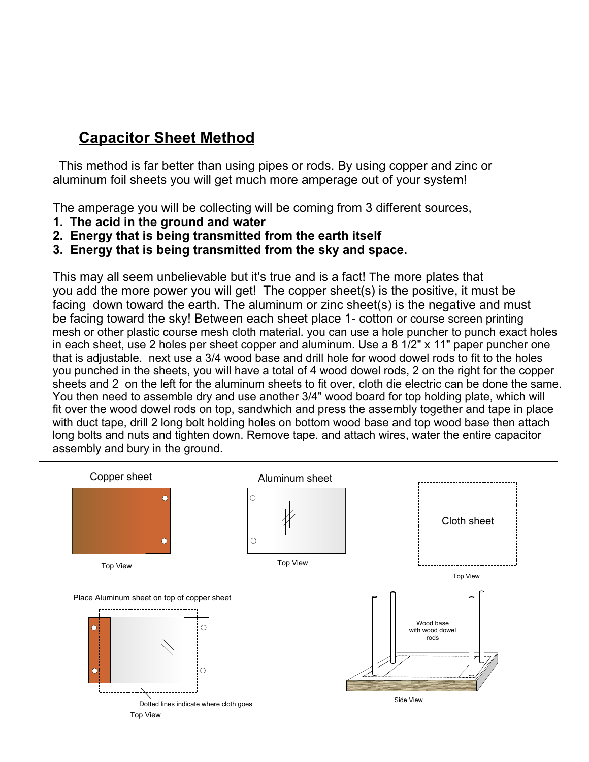### **Capacitor Sheet Method**

 This method is far better than using pipes or rods. By using copper and zinc or aluminum foil sheets you will get much more amperage out of your system!

The amperage you will be collecting will be coming from 3 different sources,

- **1. The acid in the ground and water**
- **2. Energy that is being transmitted from the earth itself**
- **3. Energy that is being transmitted from the sky and space.**

This may all seem unbelievable but it's true and is a fact! The more plates that you add the more power you will get! The copper sheet(s) is the positive, it must be facing down toward the earth. The aluminum or zinc sheet(s) is the negative and must be facing toward the sky! Between each sheet place 1- cotton or course screen printing mesh or other plastic course mesh cloth material. you can use a hole puncher to punch exact holes in each sheet, use 2 holes per sheet copper and aluminum. Use a 8 1/2" x 11" paper puncher one that is adjustable. next use a 3/4 wood base and drill hole for wood dowel rods to fit to the holes you punched in the sheets, you will have a total of 4 wood dowel rods, 2 on the right for the copper sheets and 2 on the left for the aluminum sheets to fit over, cloth die electric can be done the same. You then need to assemble dry and use another 3/4" wood board for top holding plate, which will fit over the wood dowel rods on top, sandwhich and press the assembly together and tape in place with duct tape, drill 2 long bolt holding holes on bottom wood base and top wood base then attach long bolts and nuts and tighten down. Remove tape. and attach wires, water the entire capacitor assembly and bury in the ground.

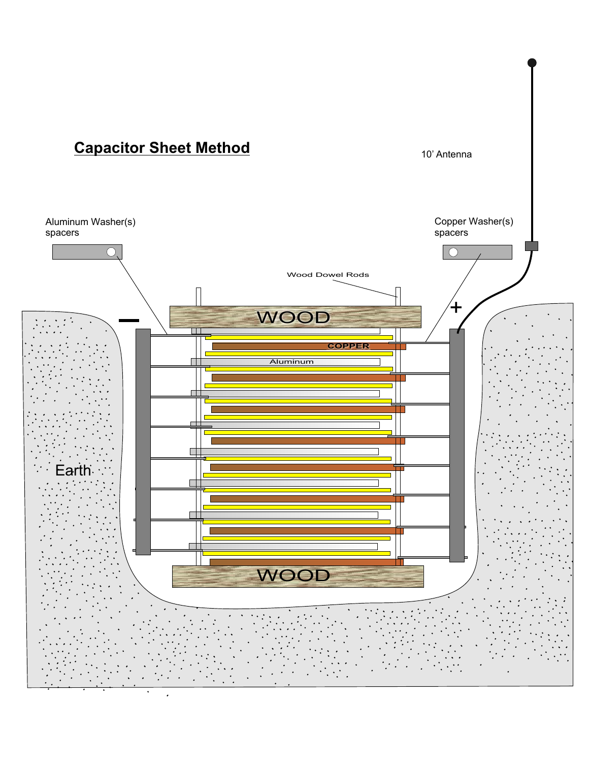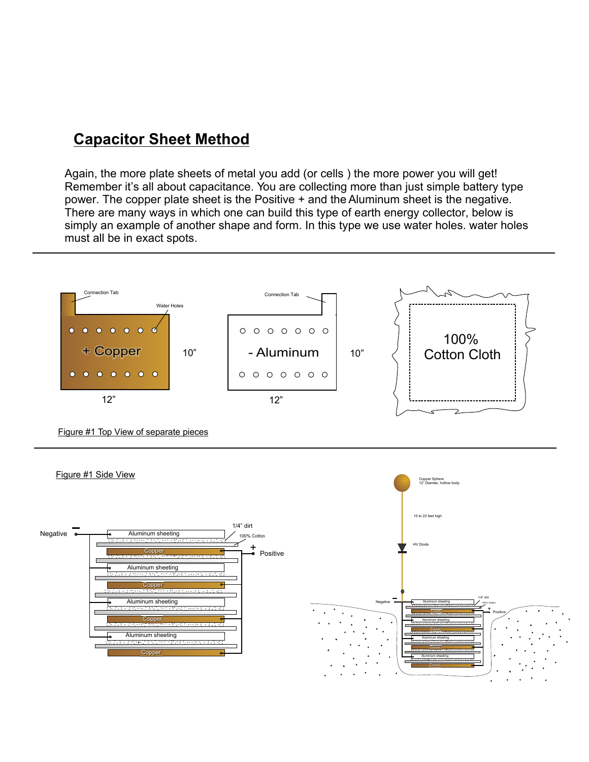### **Capacitor Sheet Method**

Again, the more plate sheets of metal you add (or cells ) the more power you will get! Remember it's all about capacitance. You are collecting more than just simple battery type power. The copper plate sheet is the Positive + and the Aluminum sheet is the negative. There are many ways in which one can build this type of earth energy collector, below is simply an example of another shape and form. In this type we use water holes. water holes must all be in exact spots.



Figure #1 Top View of separate pieces

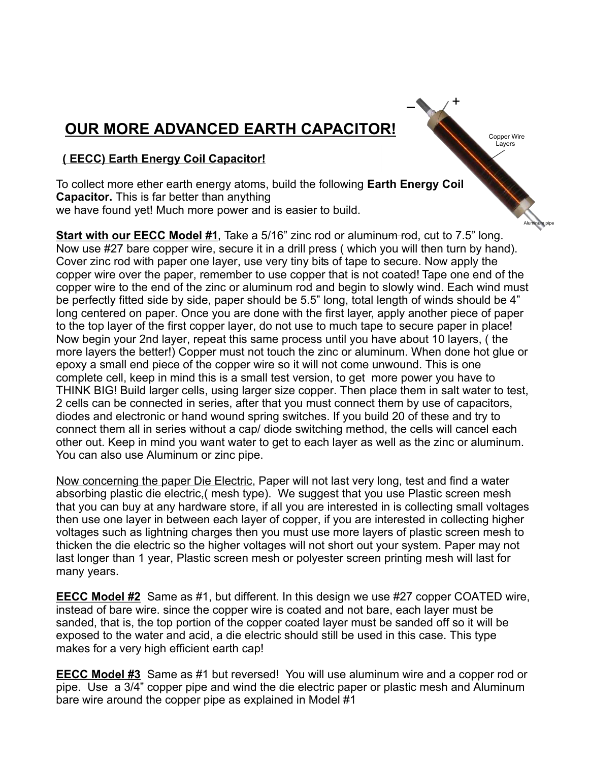# **OUR MORE ADVANCED EARTH CAPACITOR!**

### **( EECC) Earth Energy Coil Capacitor!**

To collect more ether earth energy atoms, build the following **Earth Energy Coil Capacitor.** This is far better than anything we have found yet! Much more power and is easier to build.

**Start with our EECC Model #1**, Take a 5/16" zinc rod or aluminum rod, cut to 7.5" long. Now use #27 bare copper wire, secure it in a drill press ( which you will then turn by hand). Cover zinc rod with paper one layer, use very tiny bits of tape to secure. Now apply the copper wire over the paper, remember to use copper that is not coated! Tape one end of the copper wire to the end of the zinc or aluminum rod and begin to slowly wind. Each wind must be perfectly fitted side by side, paper should be 5.5" long, total length of winds should be 4" long centered on paper. Once you are done with the first layer, apply another piece of paper to the top layer of the first copper layer, do not use to much tape to secure paper in place! Now begin your 2nd layer, repeat this same process until you have about 10 layers, ( the more layers the better!) Copper must not touch the zinc or aluminum. When done hot glue or epoxy a small end piece of the copper wire so it will not come unwound. This is one complete cell, keep in mind this is a small test version, to get more power you have to THINK BIG! Build larger cells, using larger size copper. Then place them in salt water to test, 2 cells can be connected in series, after that you must connect them by use of capacitors, diodes and electronic or hand wound spring switches. If you build 20 of these and try to connect them all in series without a cap/ diode switching method, the cells will cancel each other out. Keep in mind you want water to get to each layer as well as the zinc or aluminum. You can also use Aluminum or zinc pipe.

+

Aluminum pipe

Copper Wire Layers

Now concerning the paper Die Electric, Paper will not last very long, test and find a water absorbing plastic die electric,( mesh type). We suggest that you use Plastic screen mesh that you can buy at any hardware store, if all you are interested in is collecting small voltages then use one layer in between each layer of copper, if you are interested in collecting higher voltages such as lightning charges then you must use more layers of plastic screen mesh to thicken the die electric so the higher voltages will not short out your system. Paper may not last longer than 1 year, Plastic screen mesh or polyester screen printing mesh will last for many years.

**EECC Model #2** Same as #1, but different. In this design we use #27 copper COATED wire, instead of bare wire. since the copper wire is coated and not bare, each layer must be sanded, that is, the top portion of the copper coated layer must be sanded off so it will be exposed to the water and acid, a die electric should still be used in this case. This type makes for a very high efficient earth cap!

**EECC Model #3** Same as #1 but reversed! You will use aluminum wire and a copper rod or pipe. Use a 3/4" copper pipe and wind the die electric paper or plastic mesh and Aluminum bare wire around the copper pipe as explained in Model #1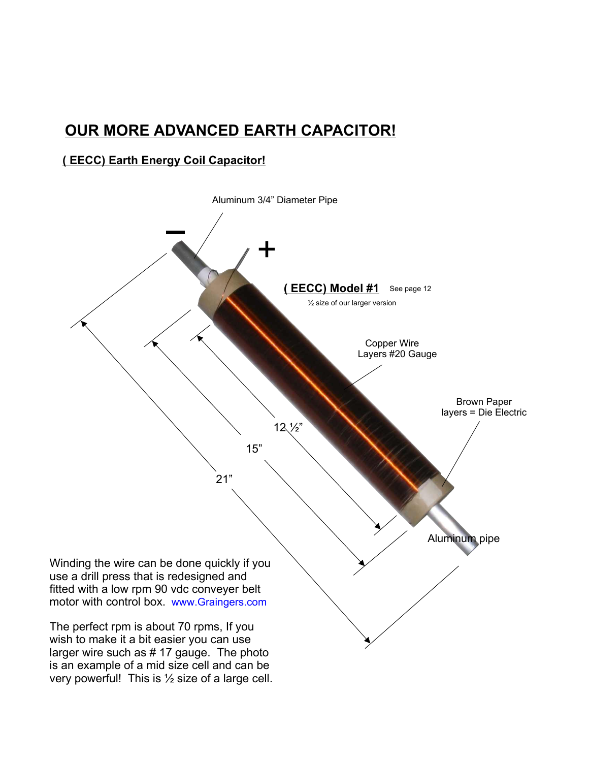### **OUR MORE ADVANCED EARTH CAPACITOR!**

### **( EECC) Earth Energy Coil Capacitor!**



is an example of a mid size cell and can be very powerful! This is ½ size of a large cell.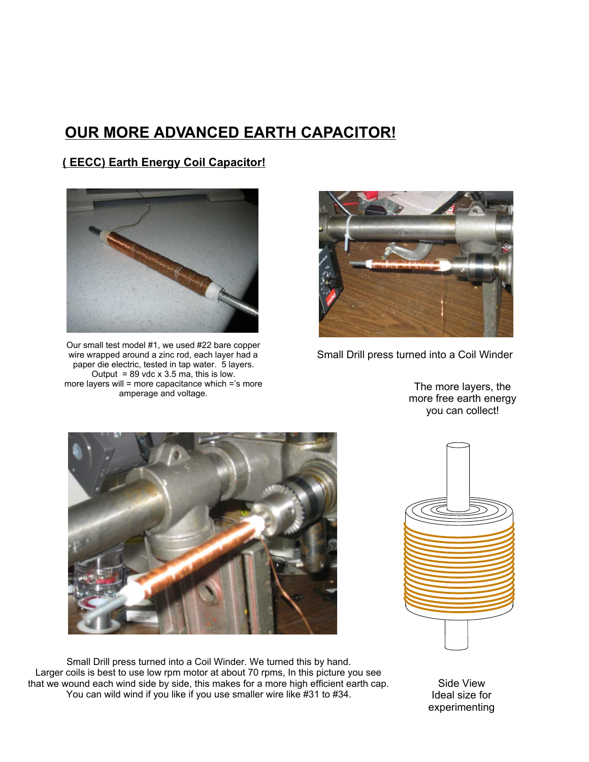# **OUR MORE ADVANCED EARTH CAPACITOR!**

### **( EECC) Earth Energy Coil Capacitor!**



Our small test model #1, we used #22 bare copper wire wrapped around a zinc rod, each layer had a paper die electric, tested in tap water. 5 layers. Output =  $89$  vdc x 3.5 ma, this is low. more layers will = more capacitance which ='s more amperage and voltage.



Small Drill press turned into a Coil Winder

The more layers, the more free earth energy you can collect!





Small Drill press turned into a Coil Winder. We turned this by hand. Larger coils is best to use low rpm motor at about 70 rpms, In this picture you see that we wound each wind side by side, this makes for a more high efficient earth cap. You can wild wind if you like if you use smaller wire like #31 to #34.

Side View Ideal size for experimenting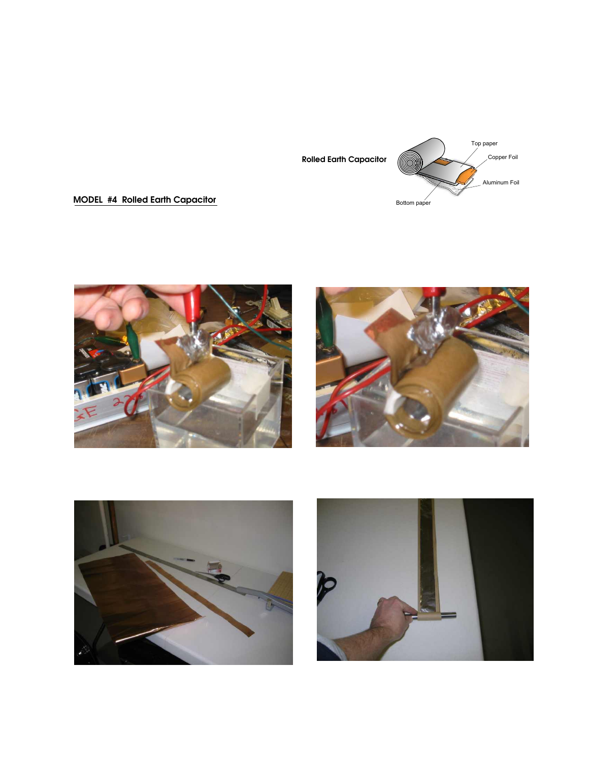

**MODEL #4 Rolled Earth Capacitor**







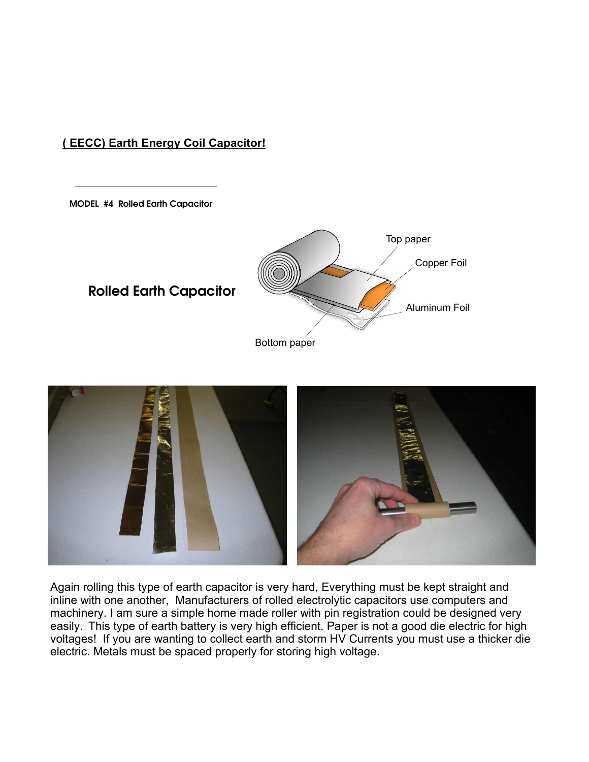### **( EECC) Earth Energy Coil Capacitor!**

**MODEL #4 Rolled Earth Capacitor**



### **Rolled Earth Capacitor**

Bottom paper



Again rolling this type of earth capacitor is very hard, Everything must be kept straight and inline with one another, Manufacturers of rolled electrolytic capacitors use computers and machinery. I am sure a simple home made roller with pin registration could be designed very easily. This type of earth battery is very high efficient. Paper is not a good die electric for high voltages! If you are wanting to collect earth and storm HV Currents you must use a thicker die electric. Metals must be spaced properly for storing high voltage.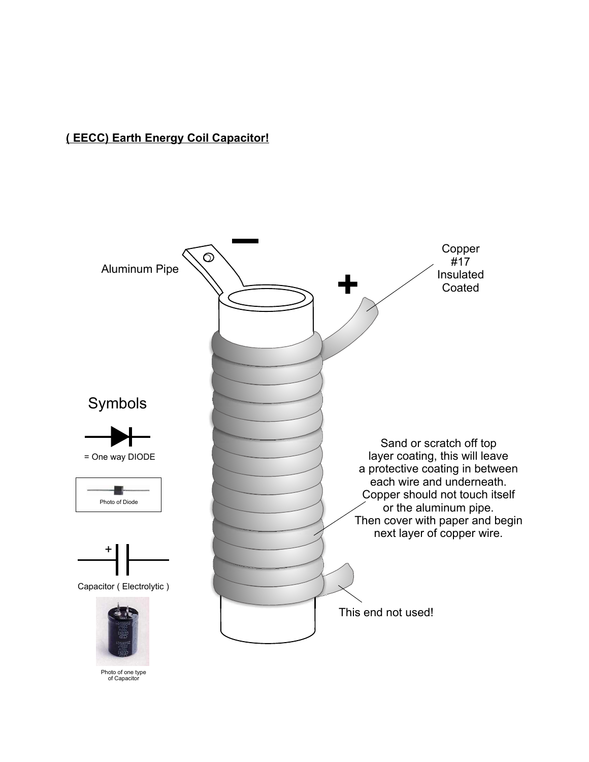### **( EECC) Earth Energy Coil Capacitor!**



Photo of one type of Capacitor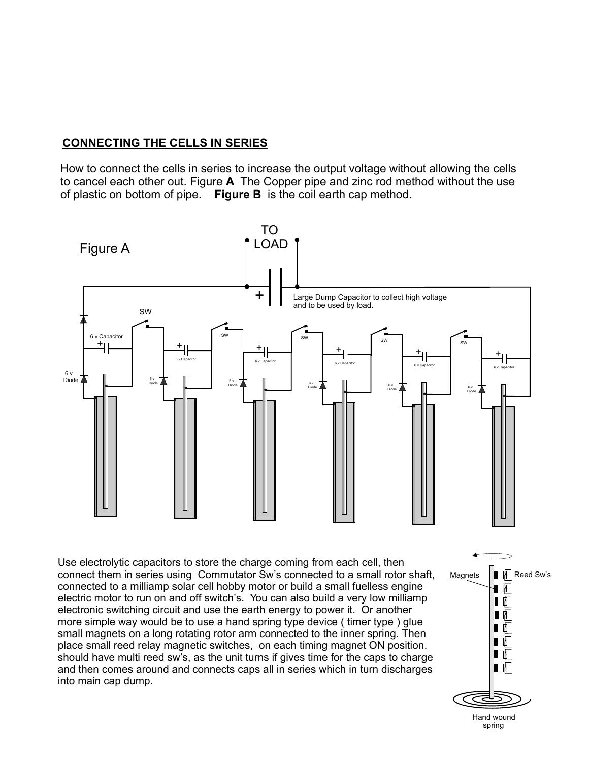#### **CONNECTING THE CELLS IN SERIES**

How to connect the cells in series to increase the output voltage without allowing the cells to cancel each other out. Figure **A** The Copper pipe and zinc rod method without the use of plastic on bottom of pipe. **Figure B** is the coil earth cap method.



Use electrolytic capacitors to store the charge coming from each cell, then connect them in series using Commutator Sw's connected to a small rotor shaft, connected to a milliamp solar cell hobby motor or build a small fuelless engine electric motor to run on and off switch's. You can also build a very low milliamp electronic switching circuit and use the earth energy to power it. Or another more simple way would be to use a hand spring type device ( timer type ) glue small magnets on a long rotating rotor arm connected to the inner spring. Then place small reed relay magnetic switches, on each timing magnet ON position. should have multi reed sw's, as the unit turns if gives time for the caps to charge and then comes around and connects caps all in series which in turn discharges into main cap dump.



Hand wound spring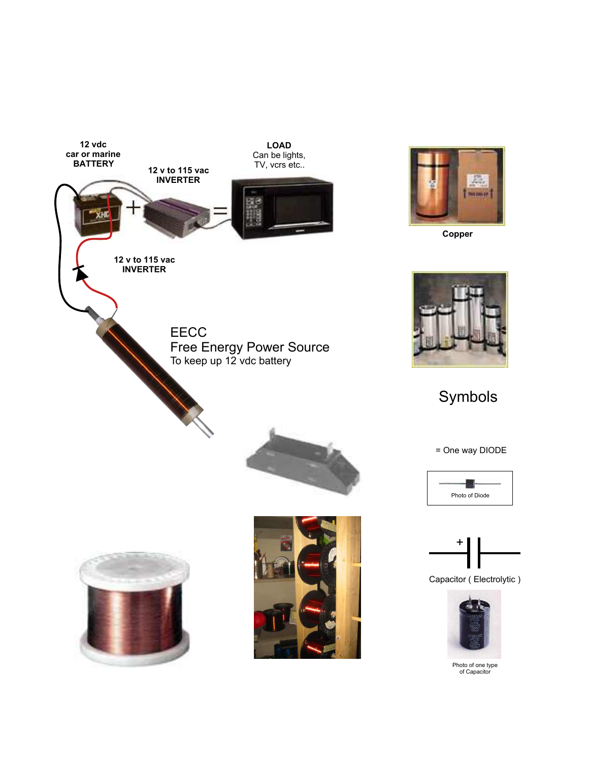



**Copper**



Symbols

= One way DIODE





Capacitor ( Electrolytic )



Photo of one type of Capacitor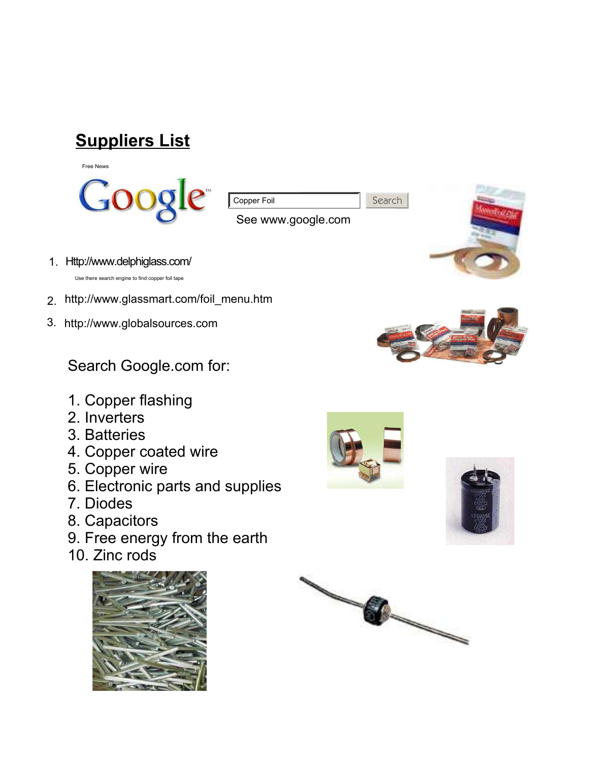**Suppliers List**



Copper Foil

Search

See www.google.com



Use there search engine to find copper foil tape

- 2. http://www.glassmart.com/foil\_menu.htm
- 3. http://www.globalsources.com

Search Google.com for:

- 1. Copper flashing
- 2. Inverters
- 3. Batteries
- 4. Copper coated wire
- 5. Copper wire
- 6. Electronic parts and supplies
- 7. Diodes
- 8. Capacitors
- 9. Free energy from the earth
- 10. Zinc rods









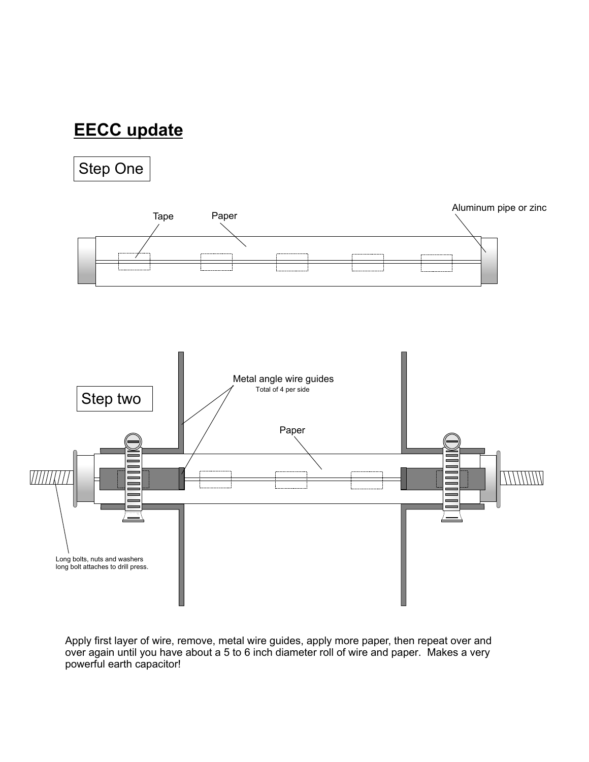# **EECC update**

# Step One



Apply first layer of wire, remove, metal wire guides, apply more paper, then repeat over and over again until you have about a 5 to 6 inch diameter roll of wire and paper. Makes a very powerful earth capacitor!